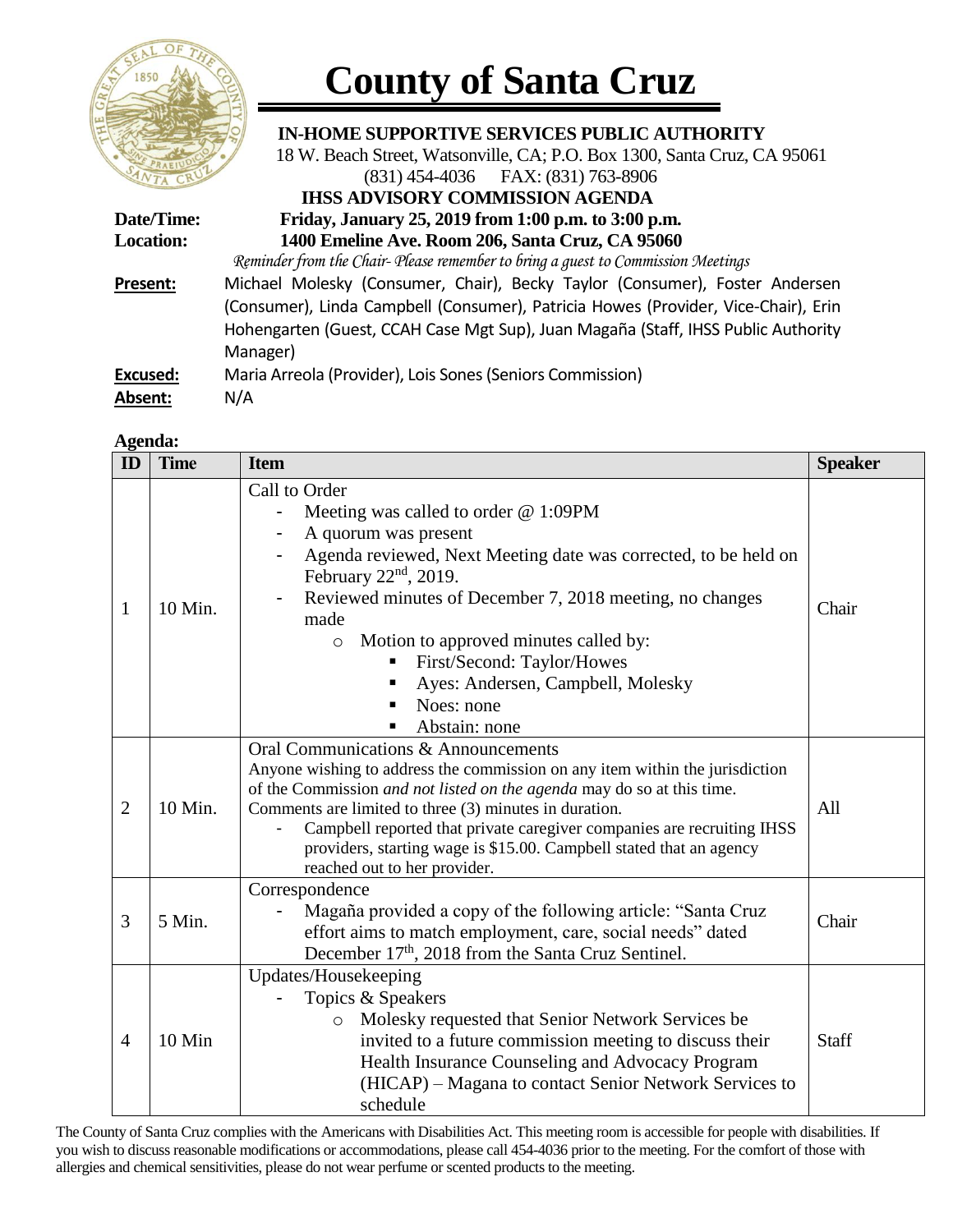

## **County of Santa Cruz**

 **IN-HOME SUPPORTIVE SERVICES PUBLIC AUTHORITY**

18 W. Beach Street, Watsonville, CA; P.O. Box 1300, Santa Cruz, CA 95061

|                  | (831) 454-4036 FAX: (831) 763-8906                                                 |
|------------------|------------------------------------------------------------------------------------|
|                  | <b>IHSS ADVISORY COMMISSION AGENDA</b>                                             |
| Date/Time:       | Friday, January 25, 2019 from 1:00 p.m. to 3:00 p.m.                               |
| <b>Location:</b> | 1400 Emeline Ave. Room 206, Santa Cruz, CA 95060                                   |
|                  | Reminder from the Chair- Please remember to bring a quest to Commission Meetings   |
| Present:         | Michael Molesky (Consumer, Chair), Becky Taylor (Consumer), Foster Andersen        |
|                  | (Consumer), Linda Campbell (Consumer), Patricia Howes (Provider, Vice-Chair), Erin |
|                  | Hohengarten (Guest, CCAH Case Mgt Sup), Juan Magaña (Staff, IHSS Public Authority  |
|                  | Manager)                                                                           |
| <b>Excused:</b>  | Maria Arreola (Provider), Lois Sones (Seniors Commission)                          |
| Absent:          | N/A                                                                                |

## **Agenda:**

| $\mathbf{D}$   | <b>Time</b> | <b>Item</b>                                                                                                                                                                                                                                                                                                                                                                                                                              | <b>Speaker</b> |
|----------------|-------------|------------------------------------------------------------------------------------------------------------------------------------------------------------------------------------------------------------------------------------------------------------------------------------------------------------------------------------------------------------------------------------------------------------------------------------------|----------------|
| $\mathbf{1}$   | 10 Min.     | Call to Order<br>Meeting was called to order $@1:09PM$<br>A quorum was present<br>Agenda reviewed, Next Meeting date was corrected, to be held on<br>February $22nd$ , 2019.<br>Reviewed minutes of December 7, 2018 meeting, no changes<br>made<br>Motion to approved minutes called by:<br>$\circ$<br>First/Second: Taylor/Howes<br>Ayes: Andersen, Campbell, Molesky<br>Noes: none<br>Abstain: none                                   | Chair          |
| $\overline{2}$ | 10 Min.     | Oral Communications & Announcements<br>Anyone wishing to address the commission on any item within the jurisdiction<br>of the Commission and not listed on the agenda may do so at this time.<br>Comments are limited to three (3) minutes in duration.<br>Campbell reported that private caregiver companies are recruiting IHSS<br>providers, starting wage is \$15.00. Campbell stated that an agency<br>reached out to her provider. | All            |
| 3              | 5 Min.      | Correspondence<br>Magaña provided a copy of the following article: "Santa Cruz<br>effort aims to match employment, care, social needs" dated<br>December 17 <sup>th</sup> , 2018 from the Santa Cruz Sentinel.                                                                                                                                                                                                                           | Chair          |
| $\overline{4}$ | 10 Min      | Updates/Housekeeping<br>Topics & Speakers<br>Molesky requested that Senior Network Services be<br>$\circ$<br>invited to a future commission meeting to discuss their<br>Health Insurance Counseling and Advocacy Program<br>(HICAP) – Magana to contact Senior Network Services to<br>schedule                                                                                                                                           | <b>Staff</b>   |

The County of Santa Cruz complies with the Americans with Disabilities Act. This meeting room is accessible for people with disabilities. If you wish to discuss reasonable modifications or accommodations, please call 454-4036 prior to the meeting. For the comfort of those with allergies and chemical sensitivities, please do not wear perfume or scented products to the meeting.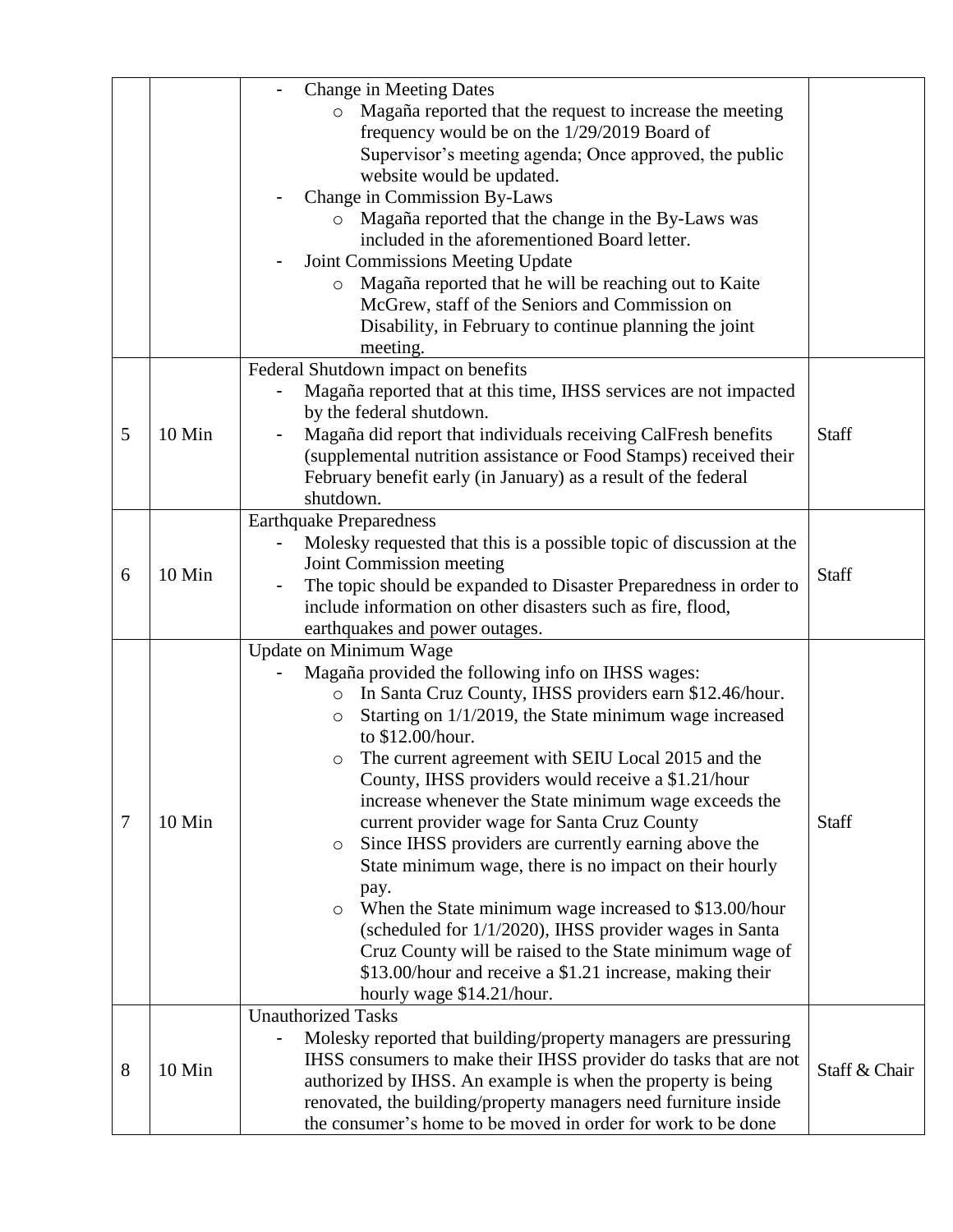|   |        | <b>Change in Meeting Dates</b>                                         |                                                                  |               |
|---|--------|------------------------------------------------------------------------|------------------------------------------------------------------|---------------|
|   |        | Magaña reported that the request to increase the meeting<br>$\circ$    |                                                                  |               |
|   |        | frequency would be on the 1/29/2019 Board of                           |                                                                  |               |
|   |        | Supervisor's meeting agenda; Once approved, the public                 |                                                                  |               |
|   |        | website would be updated.                                              |                                                                  |               |
|   |        | Change in Commission By-Laws                                           |                                                                  |               |
|   |        | Magaña reported that the change in the By-Laws was                     |                                                                  |               |
|   |        | included in the aforementioned Board letter.                           |                                                                  |               |
|   |        | Joint Commissions Meeting Update                                       |                                                                  |               |
|   |        | Magaña reported that he will be reaching out to Kaite<br>$\circ$       |                                                                  |               |
|   |        | McGrew, staff of the Seniors and Commission on                         |                                                                  |               |
|   |        | Disability, in February to continue planning the joint                 |                                                                  |               |
|   |        | meeting.                                                               |                                                                  |               |
|   |        | Federal Shutdown impact on benefits                                    |                                                                  |               |
|   |        | Magaña reported that at this time, IHSS services are not impacted      |                                                                  |               |
|   |        | by the federal shutdown.                                               |                                                                  |               |
| 5 | 10 Min | Magaña did report that individuals receiving CalFresh benefits         | <b>Staff</b>                                                     |               |
|   |        | (supplemental nutrition assistance or Food Stamps) received their      |                                                                  |               |
|   |        | February benefit early (in January) as a result of the federal         |                                                                  |               |
|   |        | shutdown.                                                              |                                                                  |               |
|   |        | <b>Earthquake Preparedness</b>                                         |                                                                  |               |
|   |        | Molesky requested that this is a possible topic of discussion at the   |                                                                  |               |
| 6 | 10 Min | Joint Commission meeting                                               | <b>Staff</b>                                                     |               |
|   |        | The topic should be expanded to Disaster Preparedness in order to<br>- |                                                                  |               |
|   |        | include information on other disasters such as fire, flood,            |                                                                  |               |
|   |        | earthquakes and power outages.                                         |                                                                  |               |
|   |        | Update on Minimum Wage                                                 |                                                                  |               |
|   |        | Magaña provided the following info on IHSS wages:                      |                                                                  |               |
|   |        | In Santa Cruz County, IHSS providers earn \$12.46/hour.<br>$\circ$     |                                                                  |               |
|   |        | Starting on 1/1/2019, the State minimum wage increased<br>$\circ$      |                                                                  |               |
|   |        | to \$12.00/hour.                                                       |                                                                  |               |
|   |        | The current agreement with SEIU Local 2015 and the<br>O                |                                                                  |               |
|   | 10 Min | County, IHSS providers would receive a \$1.21/hour                     |                                                                  |               |
|   |        | increase whenever the State minimum wage exceeds the                   |                                                                  |               |
| 7 |        | current provider wage for Santa Cruz County                            | <b>Staff</b>                                                     |               |
|   |        | Since IHSS providers are currently earning above the<br>O              |                                                                  |               |
|   |        | State minimum wage, there is no impact on their hourly                 |                                                                  |               |
|   |        | pay.                                                                   |                                                                  |               |
|   |        | When the State minimum wage increased to \$13.00/hour<br>O             |                                                                  |               |
|   |        | (scheduled for 1/1/2020), IHSS provider wages in Santa                 |                                                                  |               |
|   |        | Cruz County will be raised to the State minimum wage of                |                                                                  |               |
|   |        | \$13.00/hour and receive a \$1.21 increase, making their               |                                                                  |               |
|   |        | hourly wage \$14.21/hour.                                              |                                                                  |               |
| 8 | 10 Min | <b>Unauthorized Tasks</b>                                              |                                                                  |               |
|   |        | Molesky reported that building/property managers are pressuring        |                                                                  |               |
|   |        |                                                                        | IHSS consumers to make their IHSS provider do tasks that are not | Staff & Chair |
|   |        | authorized by IHSS. An example is when the property is being           |                                                                  |               |
|   |        | renovated, the building/property managers need furniture inside        |                                                                  |               |
|   |        | the consumer's home to be moved in order for work to be done           |                                                                  |               |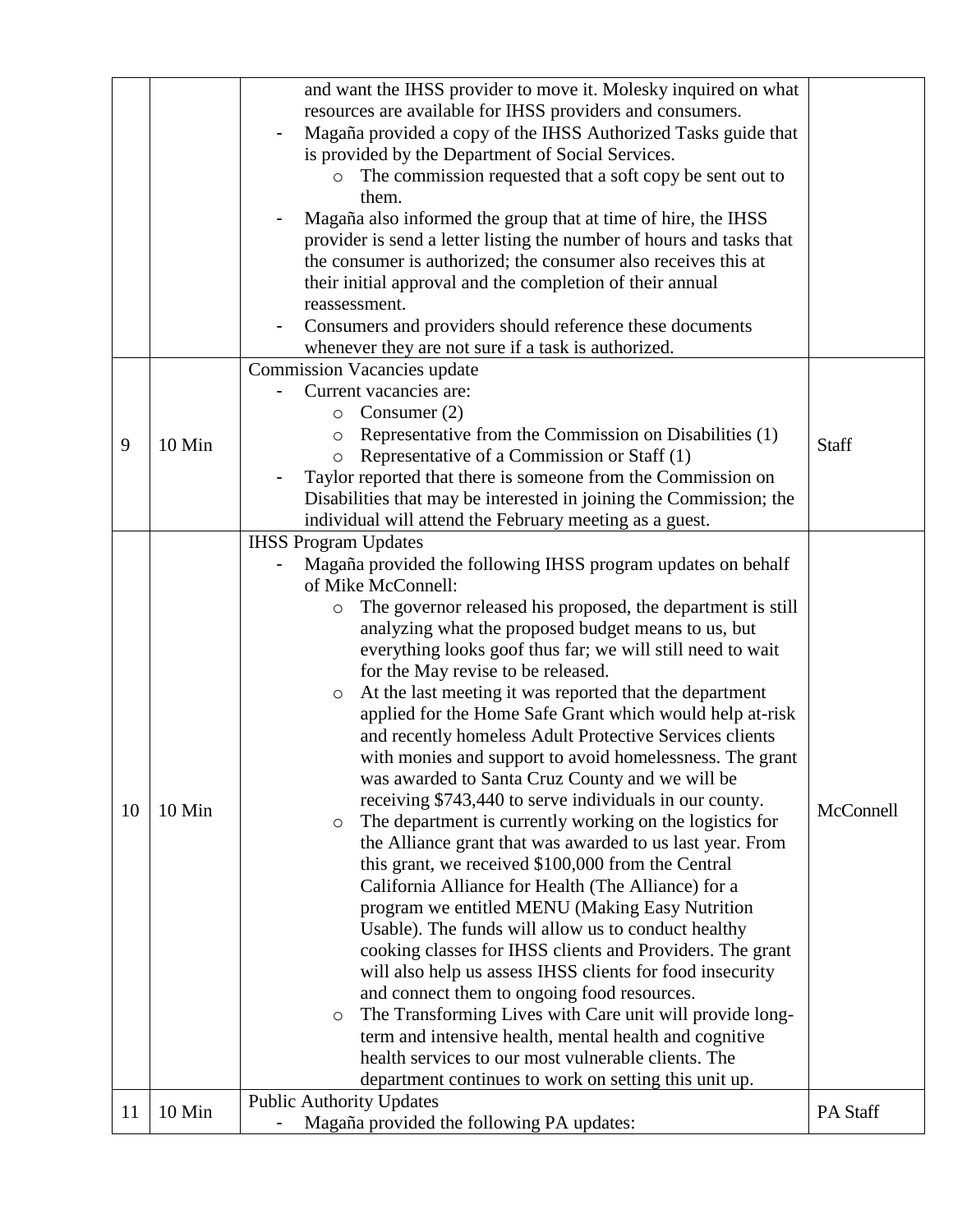| reassessment.<br>Consumers and providers should reference these documents<br>whenever they are not sure if a task is authorized.<br><b>Commission Vacancies update</b><br>Current vacancies are:<br>Consumer $(2)$<br>O<br>Representative from the Commission on Disabilities (1)<br>$\circ$<br>9<br>10 Min<br>Staff<br>Representative of a Commission or Staff (1)<br>O<br>Taylor reported that there is someone from the Commission on<br>Disabilities that may be interested in joining the Commission; the<br>individual will attend the February meeting as a guest.<br><b>IHSS Program Updates</b><br>Magaña provided the following IHSS program updates on behalf<br>of Mike McConnell:<br>The governor released his proposed, the department is still<br>O<br>analyzing what the proposed budget means to us, but<br>everything looks goof thus far; we will still need to wait<br>for the May revise to be released.<br>At the last meeting it was reported that the department<br>$\circ$<br>applied for the Home Safe Grant which would help at-risk<br>and recently homeless Adult Protective Services clients<br>with monies and support to avoid homelessness. The grant<br>was awarded to Santa Cruz County and we will be<br>receiving \$743,440 to serve individuals in our county.<br>McConnell<br>10<br>10 Min<br>The department is currently working on the logistics for<br>O<br>the Alliance grant that was awarded to us last year. From<br>this grant, we received \$100,000 from the Central<br>California Alliance for Health (The Alliance) for a<br>program we entitled MENU (Making Easy Nutrition<br>Usable). The funds will allow us to conduct healthy<br>cooking classes for IHSS clients and Providers. The grant<br>will also help us assess IHSS clients for food insecurity<br>and connect them to ongoing food resources.<br>The Transforming Lives with Care unit will provide long-<br>$\circ$ |    |        | and want the IHSS provider to move it. Molesky inquired on what<br>resources are available for IHSS providers and consumers.<br>Magaña provided a copy of the IHSS Authorized Tasks guide that<br>is provided by the Department of Social Services.<br>The commission requested that a soft copy be sent out to<br>$\circ$<br>them.<br>Magaña also informed the group that at time of hire, the IHSS<br>provider is send a letter listing the number of hours and tasks that<br>the consumer is authorized; the consumer also receives this at<br>their initial approval and the completion of their annual |          |
|----------------------------------------------------------------------------------------------------------------------------------------------------------------------------------------------------------------------------------------------------------------------------------------------------------------------------------------------------------------------------------------------------------------------------------------------------------------------------------------------------------------------------------------------------------------------------------------------------------------------------------------------------------------------------------------------------------------------------------------------------------------------------------------------------------------------------------------------------------------------------------------------------------------------------------------------------------------------------------------------------------------------------------------------------------------------------------------------------------------------------------------------------------------------------------------------------------------------------------------------------------------------------------------------------------------------------------------------------------------------------------------------------------------------------------------------------------------------------------------------------------------------------------------------------------------------------------------------------------------------------------------------------------------------------------------------------------------------------------------------------------------------------------------------------------------------------------------------------------------------------------------------------------------------------------------|----|--------|-------------------------------------------------------------------------------------------------------------------------------------------------------------------------------------------------------------------------------------------------------------------------------------------------------------------------------------------------------------------------------------------------------------------------------------------------------------------------------------------------------------------------------------------------------------------------------------------------------------|----------|
|                                                                                                                                                                                                                                                                                                                                                                                                                                                                                                                                                                                                                                                                                                                                                                                                                                                                                                                                                                                                                                                                                                                                                                                                                                                                                                                                                                                                                                                                                                                                                                                                                                                                                                                                                                                                                                                                                                                                        |    |        |                                                                                                                                                                                                                                                                                                                                                                                                                                                                                                                                                                                                             |          |
|                                                                                                                                                                                                                                                                                                                                                                                                                                                                                                                                                                                                                                                                                                                                                                                                                                                                                                                                                                                                                                                                                                                                                                                                                                                                                                                                                                                                                                                                                                                                                                                                                                                                                                                                                                                                                                                                                                                                        |    |        |                                                                                                                                                                                                                                                                                                                                                                                                                                                                                                                                                                                                             |          |
| health services to our most vulnerable clients. The<br>department continues to work on setting this unit up.                                                                                                                                                                                                                                                                                                                                                                                                                                                                                                                                                                                                                                                                                                                                                                                                                                                                                                                                                                                                                                                                                                                                                                                                                                                                                                                                                                                                                                                                                                                                                                                                                                                                                                                                                                                                                           |    |        | term and intensive health, mental health and cognitive                                                                                                                                                                                                                                                                                                                                                                                                                                                                                                                                                      |          |
| <b>Public Authority Updates</b>                                                                                                                                                                                                                                                                                                                                                                                                                                                                                                                                                                                                                                                                                                                                                                                                                                                                                                                                                                                                                                                                                                                                                                                                                                                                                                                                                                                                                                                                                                                                                                                                                                                                                                                                                                                                                                                                                                        | 11 | 10 Min | Magaña provided the following PA updates:<br>$\blacksquare$                                                                                                                                                                                                                                                                                                                                                                                                                                                                                                                                                 | PA Staff |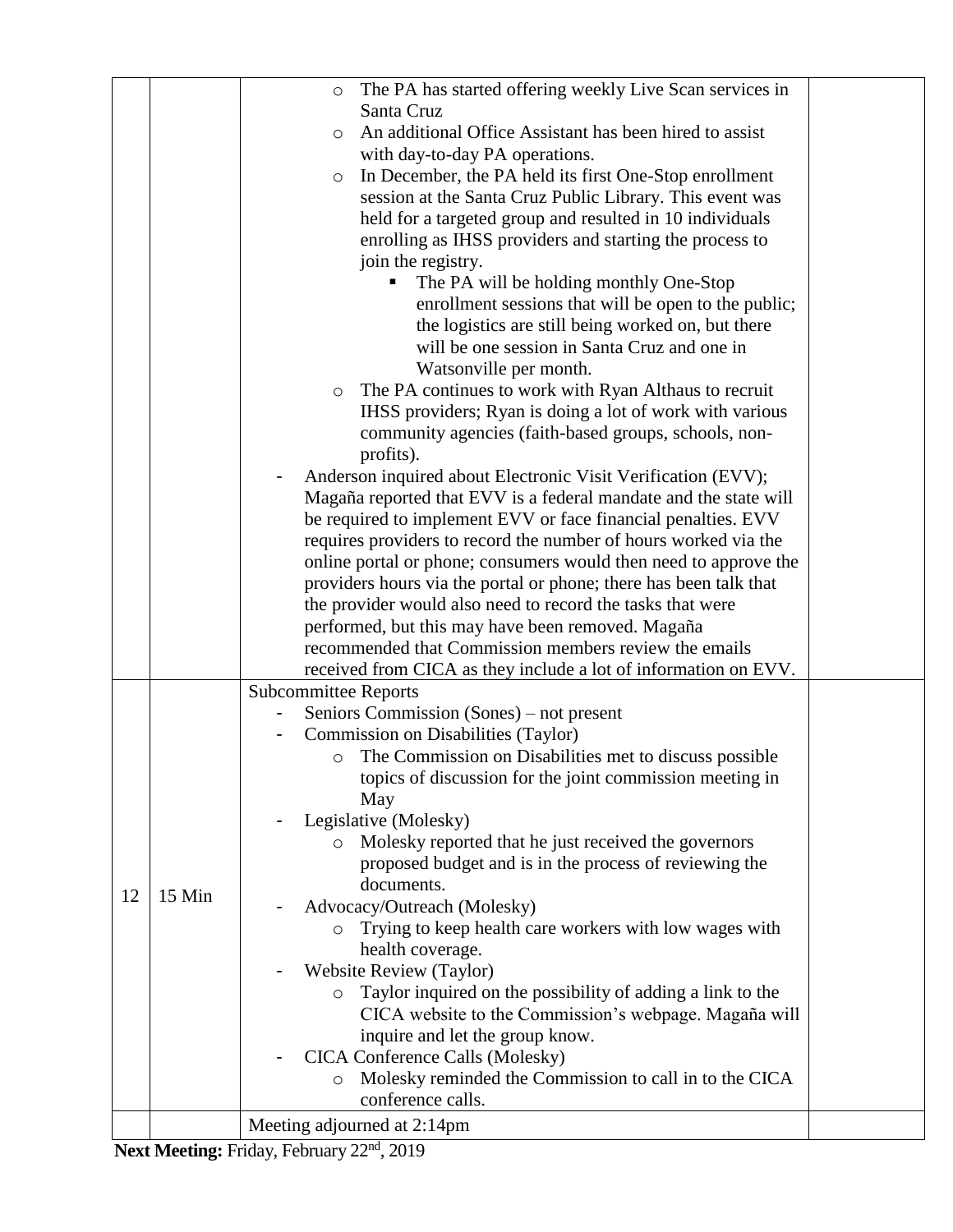|    |        | The PA has started offering weekly Live Scan services in<br>$\circ$                    |  |
|----|--------|----------------------------------------------------------------------------------------|--|
|    |        | Santa Cruz                                                                             |  |
|    |        | An additional Office Assistant has been hired to assist<br>$\circ$                     |  |
|    |        | with day-to-day PA operations.                                                         |  |
|    |        | In December, the PA held its first One-Stop enrollment<br>$\circ$                      |  |
|    |        | session at the Santa Cruz Public Library. This event was                               |  |
|    |        | held for a targeted group and resulted in 10 individuals                               |  |
|    |        | enrolling as IHSS providers and starting the process to                                |  |
|    |        | join the registry.                                                                     |  |
|    |        | The PA will be holding monthly One-Stop                                                |  |
|    |        | enrollment sessions that will be open to the public;                                   |  |
|    |        | the logistics are still being worked on, but there                                     |  |
|    |        | will be one session in Santa Cruz and one in                                           |  |
|    |        | Watsonville per month.                                                                 |  |
|    |        | The PA continues to work with Ryan Althaus to recruit<br>$\circ$                       |  |
|    |        | IHSS providers; Ryan is doing a lot of work with various                               |  |
|    |        | community agencies (faith-based groups, schools, non-                                  |  |
|    |        | profits).<br>Anderson inquired about Electronic Visit Verification (EVV);              |  |
|    |        | Magaña reported that EVV is a federal mandate and the state will                       |  |
|    |        | be required to implement EVV or face financial penalties. EVV                          |  |
|    |        | requires providers to record the number of hours worked via the                        |  |
|    |        | online portal or phone; consumers would then need to approve the                       |  |
|    |        | providers hours via the portal or phone; there has been talk that                      |  |
|    |        | the provider would also need to record the tasks that were                             |  |
|    |        | performed, but this may have been removed. Magaña                                      |  |
|    |        | recommended that Commission members review the emails                                  |  |
|    |        | received from CICA as they include a lot of information on EVV.                        |  |
|    |        | <b>Subcommittee Reports</b>                                                            |  |
|    |        | Seniors Commission (Sones) – not present                                               |  |
|    |        | Commission on Disabilities (Taylor)                                                    |  |
|    |        | The Commission on Disabilities met to discuss possible<br>$\circ$                      |  |
|    |        | topics of discussion for the joint commission meeting in<br>May                        |  |
| 12 |        | Legislative (Molesky)                                                                  |  |
|    |        | Molesky reported that he just received the governors<br>$\circ$                        |  |
|    |        | proposed budget and is in the process of reviewing the                                 |  |
|    |        | documents.                                                                             |  |
|    | 15 Min | Advocacy/Outreach (Molesky)                                                            |  |
|    |        | Trying to keep health care workers with low wages with                                 |  |
|    |        | health coverage.                                                                       |  |
|    |        | <b>Website Review (Taylor)</b>                                                         |  |
|    |        | Taylor inquired on the possibility of adding a link to the<br>$\circ$                  |  |
|    |        | CICA website to the Commission's webpage. Magaña will                                  |  |
|    |        | inquire and let the group know.                                                        |  |
|    |        | CICA Conference Calls (Molesky)                                                        |  |
|    |        | Molesky reminded the Commission to call in to the CICA<br>$\circ$<br>conference calls. |  |
|    |        |                                                                                        |  |
|    |        | Meeting adjourned at 2:14pm                                                            |  |

Next Meeting: Friday, February 22<sup>nd</sup>, 2019